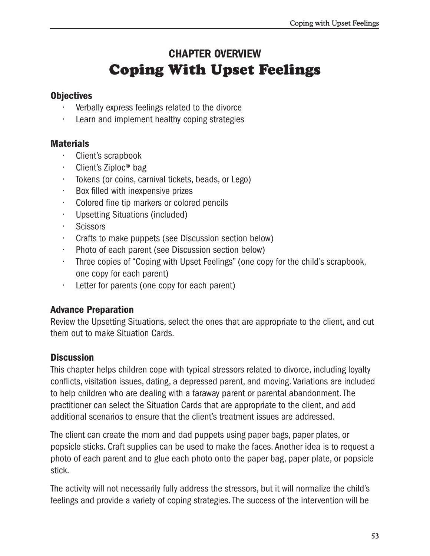# **CHAPTER OVERVIEW Coping With Upset Feelings**

# **Objectives**

- Verbally express feelings related to the divorce
- Learn and implement healthy coping strategies

# **Materials**

- Client's scrapbook
- Client's Ziploc<sup>®</sup> bag
- · Tokens (or coins, carnival tickets, beads, or Lego)
- Box filled with inexpensive prizes a.
- Colored fine tip markers or colored pencils
- Upsetting Situations (included)
- $\mathbf{r}$ Scissors
- Crafts to make puppets (see Discussion section below)
- $\mathcal{L}^{\text{max}}$ Photo of each parent (see Discussion section below)
- Three copies of "Coping with Upset Feelings" (one copy for the child's scrapbook, one copy for each parent)
- $\mathcal{L}_{\mathcal{A}}$ Letter for parents (one copy for each parent)

# **Advance Preparation**

Review the Upsetting Situations, select the ones that are appropriate to the client, and cut them out to make Situation Cards.

# **Discussion**

This chapter helps children cope with typical stressors related to divorce, including loyalty conflicts, visitation issues, dating, a depressed parent, and moving. Variations are included to help children who are dealing with a faraway parent or parental abandonment. The practitioner can select the Situation Cards that are appropriate to the client, and add additional scenarios to ensure that the client's treatment issues are addressed.

The client can create the mom and dad puppets using paper bags, paper plates, or popsicle sticks. Craft supplies can be used to make the faces. Another idea is to request a photo of each parent and to glue each photo onto the paper bag, paper plate, or popsicle stick.

The activity will not necessarily fully address the stressors, but it will normalize the child's feelings and provide a variety of coping strategies. The success of the intervention will be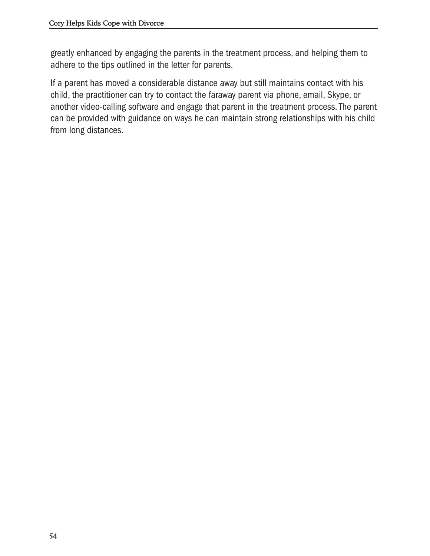greatly enhanced by engaging the parents in the treatment process, and helping them to adhere to the tips outlined in the letter for parents.

If a parent has moved a considerable distance away but still maintains contact with his child, the practitioner can try to contact the faraway parent via phone, email, Skype, or another video-calling software and engage that parent in the treatment process. The parent can be provided with guidance on ways he can maintain strong relationships with his child from long distances.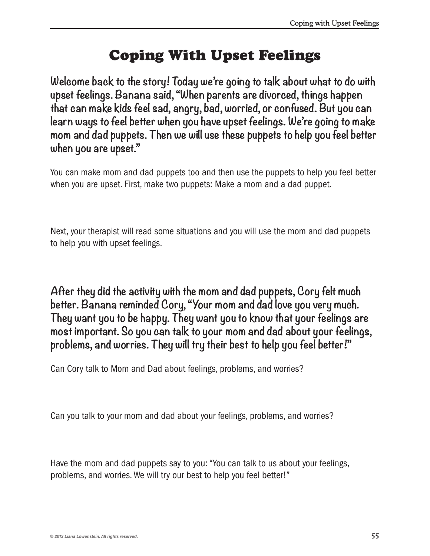# Coping With Upset Feelings

**Welcome back to the story! Today we're going to talk about what to do with upset feelings. Banana said, "When parents are divorced, things happen that can make kids feel sad, angry, bad, worried, or confused. But you can learn ways to feel better when you have upset feelings. We're going to make mom and dad puppets. Then we will use these puppets to help you feel better when you are upset."**

You can make mom and dad puppets too and then use the puppets to help you feel better when you are upset. First, make two puppets: Make a mom and a dad puppet.

Next, your therapist will read some situations and you will use the mom and dad puppets to help you with upset feelings.

**After they did the activity with the mom and dad puppets, Cory felt much better. Banana reminded Cory, "Your mom and dad love you very much. They want you to be happy. They want you to know that your feelings are most important. So you can talk to your mom and dad about your feelings, problems, and worries. They will try their best to help you feel better!"**

Can Cory talk to Mom and Dad about feelings, problems, and worries?

Can you talk to your mom and dad about your feelings, problems, and worries?

Have the mom and dad puppets say to you: "You can talk to us about your feelings, problems, and worries. We will try our best to help you feel better!"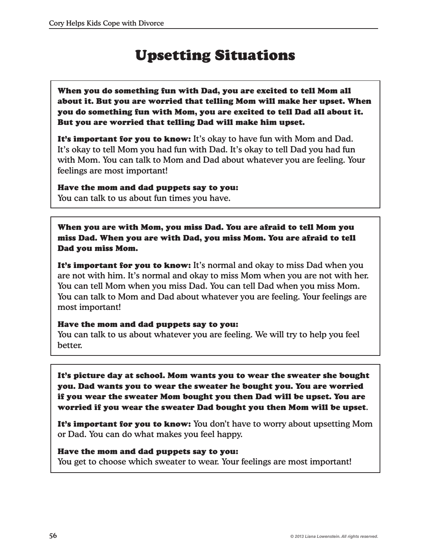# Upsetting Situations

When you do something fun with Dad, you are excited to tell Mom all about it. But you are worried that telling Mom will make her upset. When you do something fun with Mom, you are excited to tell Dad all about it. But you are worried that telling Dad will make him upset.

It's important for you to know: It's okay to have fun with Mom and Dad. It's okay to tell Mom you had fun with Dad. It's okay to tell Dad you had fun with Mom. You can talk to Mom and Dad about whatever you are feeling. Your feelings are most important!

# Have the mom and dad puppets say to you:

You can talk to us about fun times you have.

When you are with Mom, you miss Dad. You are afraid to tell Mom you miss Dad. When you are with Dad, you miss Mom. You are afraid to tell Dad you miss Mom.

It's important for you to know: It's normal and okay to miss Dad when you are not with him. It's normal and okay to miss Mom when you are not with her. You can tell Mom when you miss Dad. You can tell Dad when you miss Mom. You can talk to Mom and Dad about whatever you are feeling. Your feelings are most important!

## Have the mom and dad puppets say to you:

You can talk to us about whatever you are feeling. We will try to help you feel better.

It's picture day at school. Mom wants you to wear the sweater she bought you. Dad wants you to wear the sweater he bought you. You are worried if you wear the sweater Mom bought you then Dad will be upset. You are worried if you wear the sweater Dad bought you then Mom will be upset.

It's important for you to know: You don't have to worry about upsetting Mom or Dad. You can do what makes you feel happy.

# Have the mom and dad puppets say to you:

You get to choose which sweater to wear. Your feelings are most important!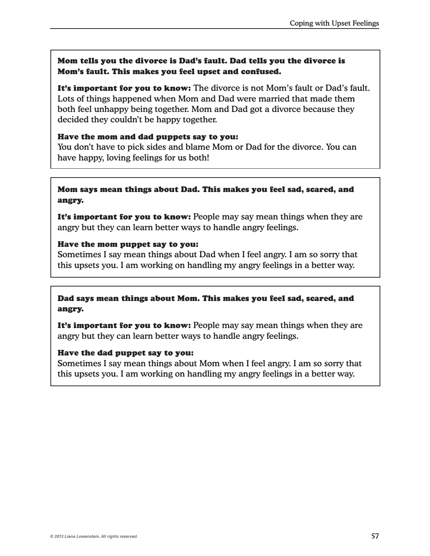# Mom tells you the divorce is Dad's fault. Dad tells you the divorce is Mom's fault. This makes you feel upset and confused.

It's important for you to know: The divorce is not Mom's fault or Dad's fault. Lots of things happened when Mom and Dad were married that made them both feel unhappy being together. Mom and Dad got a divorce because they decided they couldn't be happy together.

## Have the mom and dad puppets say to you:

You don't have to pick sides and blame Mom or Dad for the divorce. You can have happy, loving feelings for us both!

# Mom says mean things about Dad. This makes you feel sad, scared, and angry.

It's important for you to know: People may say mean things when they are angry but they can learn better ways to handle angry feelings.

## Have the mom puppet say to you:

Sometimes I say mean things about Dad when I feel angry. I am so sorry that this upsets you. I am working on handling my angry feelings in a better way.

# Dad says mean things about Mom. This makes you feel sad, scared, and angry.

It's important for you to know: People may say mean things when they are angry but they can learn better ways to handle angry feelings.

## Have the dad puppet say to you:

Sometimes I say mean things about Mom when I feel angry. I am so sorry that this upsets you. I am working on handling my angry feelings in a better way.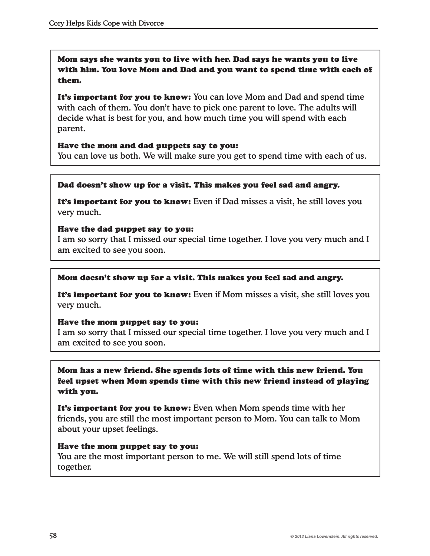Mom says she wants you to live with her. Dad says he wants you to live with him. You love Mom and Dad and you want to spend time with each of them.

It's important for you to know: You can love Mom and Dad and spend time with each of them. You don't have to pick one parent to love. The adults will decide what is best for you, and how much time you will spend with each parent.

## Have the mom and dad puppets say to you:

You can love us both. We will make sure you get to spend time with each of us.

## Dad doesn't show up for a visit. This makes you feel sad and angry.

It's important for you to know: Even if Dad misses a visit, he still loves you very much.

## Have the dad puppet say to you:

I am so sorry that I missed our special time together. I love you very much and I am excited to see you soon.

#### Mom doesn't show up for a visit. This makes you feel sad and angry.

It's important for you to know: Even if Mom misses a visit, she still loves you very much.

## Have the mom puppet say to you:

I am so sorry that I missed our special time together. I love you very much and I am excited to see you soon.

Mom has a new friend. She spends lots of time with this new friend. You feel upset when Mom spends time with this new friend instead of playing with you.

It's important for you to know: Even when Mom spends time with her friends, you are still the most important person to Mom. You can talk to Mom about your upset feelings.

#### Have the mom puppet say to you:

You are the most important person to me. We will still spend lots of time together.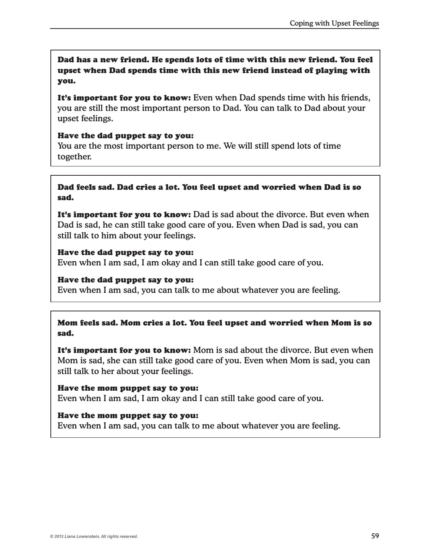Dad has a new friend. He spends lots of time with this new friend. You feel upset when Dad spends time with this new friend instead of playing with you.

It's important for you to know: Even when Dad spends time with his friends, you are still the most important person to Dad. You can talk to Dad about your upset feelings.

#### Have the dad puppet say to you:

You are the most important person to me. We will still spend lots of time together.

## Dad feels sad. Dad cries a lot. You feel upset and worried when Dad is so sad.

It's important for you to know: Dad is sad about the divorce. But even when Dad is sad, he can still take good care of you. Even when Dad is sad, you can still talk to him about your feelings.

## Have the dad puppet say to you:

Even when I am sad, I am okay and I can still take good care of you.

#### Have the dad puppet say to you:

Even when I am sad, you can talk to me about whatever you are feeling.

# Mom feels sad. Mom cries a lot. You feel upset and worried when Mom is so sad.

It's important for you to know: Mom is sad about the divorce. But even when Mom is sad, she can still take good care of you. Even when Mom is sad, you can still talk to her about your feelings.

#### Have the mom puppet say to you:

Even when I am sad, I am okay and I can still take good care of you.

## Have the mom puppet say to you:

Even when I am sad, you can talk to me about whatever you are feeling.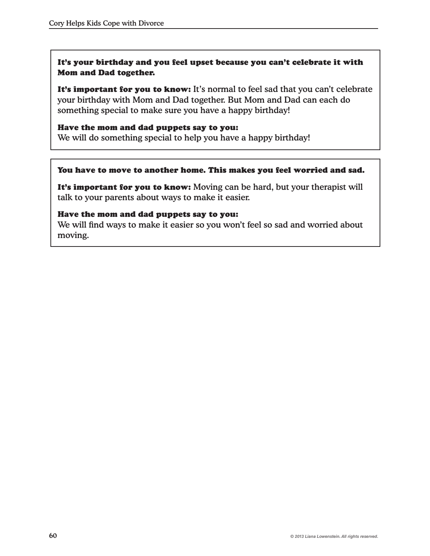# It's your birthday and you feel upset because you can't celebrate it with Mom and Dad together.

It's important for you to know: It's normal to feel sad that you can't celebrate your birthday with Mom and Dad together. But Mom and Dad can each do something special to make sure you have a happy birthday!

## Have the mom and dad puppets say to you:

We will do something special to help you have a happy birthday!

## You have to move to another home. This makes you feel worried and sad.

It's important for you to know: Moving can be hard, but your therapist will talk to your parents about ways to make it easier.

#### Have the mom and dad puppets say to you:

We will find ways to make it easier so you won't feel so sad and worried about moving.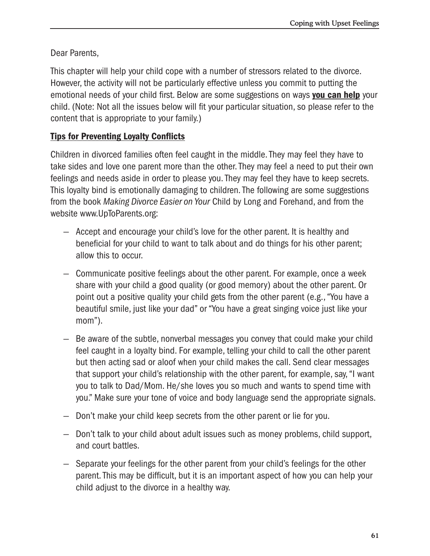Dear Parents,

This chapter will help your child cope with a number of stressors related to the divorce. However, the activity will not be particularly effective unless you commit to putting the emotional needs of your child first. Below are some suggestions on ways you can help your child. (Note: Not all the issues below will fit your particular situation, so please refer to the content that is appropriate to your family.)

# **Tips for Preventing Loyalty Conflicts**

Children in divorced families often feel caught in the middle. They may feel they have to take sides and love one parent more than the other. They may feel a need to put their own feelings and needs aside in order to please you. They may feel they have to keep secrets. This loyalty bind is emotionally damaging to children. The following are some suggestions from the book Making Divorce Easier on Your Child by Long and Forehand, and from the website www.UpToParents.org:

- Accept and encourage your child's love for the other parent. It is healthy and beneficial for your child to want to talk about and do things for his other parent; allow this to occur.
- Communicate positive feelings about the other parent. For example, once a week share with your child a good quality (or good memory) about the other parent. Or point out a positive quality your child gets from the other parent (e.g., "You have a beautiful smile, just like your dad" or "You have a great singing voice just like your  $mom$ ").
- Be aware of the subtle, nonverbal messages you convey that could make your child feel caught in a loyalty bind. For example, telling your child to call the other parent but then acting sad or aloof when your child makes the call. Send clear messages that support your child's relationship with the other parent, for example, say, "I want you to talk to Dad/Mom. He/she loves you so much and wants to spend time with you." Make sure your tone of voice and body language send the appropriate signals.
- Don't make your child keep secrets from the other parent or lie for you.
- Don't talk to your child about adult issues such as money problems, child support, and court battles.
- Separate your feelings for the other parent from your child's feelings for the other parent. This may be difficult, but it is an important aspect of how you can help your child adjust to the divorce in a healthy way.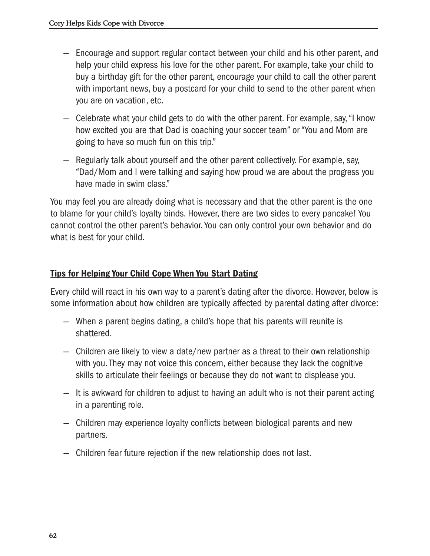- Encourage and support regular contact between your child and his other parent, and help your child express his love for the other parent. For example, take your child to buy a birthday gift for the other parent, encourage your child to call the other parent with important news, buy a postcard for your child to send to the other parent when you are on vacation, etc.
- Celebrate what your child gets to do with the other parent. For example, say, "I know how excited you are that Dad is coaching your soccer team" or "You and Mom are going to have so much fun on this trip."
- Regularly talk about yourself and the other parent collectively. For example, say, "Dad/Mom and I were talking and saying how proud we are about the progress you have made in swim class."

You may feel you are already doing what is necessary and that the other parent is the one to blame for your child's loyalty binds. However, there are two sides to every pancake! You cannot control the other parent's behavior. You can only control your own behavior and do what is best for your child.

# **Tips for Helping Your Child Cope When You Start Dating**

Every child will react in his own way to a parent's dating after the divorce. However, below is some information about how children are typically affected by parental dating after divorce:

- When a parent begins dating, a child's hope that his parents will reunite is shattered.
- Children are likely to view a date/new partner as a threat to their own relationship with you. They may not voice this concern, either because they lack the cognitive skills to articulate their feelings or because they do not want to displease you.
- It is awkward for children to adjust to having an adult who is not their parent acting in a parenting role.
- Children may experience loyalty conflicts between biological parents and new partners.
- Children fear future rejection if the new relationship does not last.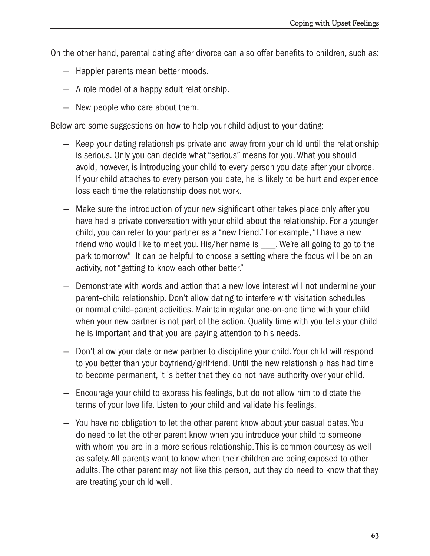On the other hand, parental dating after divorce can also offer benefits to children, such as:

- Happier parents mean better moods.
- A role model of a happy adult relationship.
- New people who care about them.

Below are some suggestions on how to help your child adjust to your dating:

- Keep your dating relationships private and away from your child until the relationship is serious. Only you can decide what "serious" means for you. What you should avoid, however, is introducing your child to every person you date after your divorce. If your child attaches to every person you date, he is likely to be hurt and experience loss each time the relationship does not work.
- Make sure the introduction of your new significant other takes place only after you have had a private conversation with your child about the relationship. For a younger child, you can refer to your partner as a "new friend." For example, "I have a new friend who would like to meet you. His/her name is \_\_\_\_. We're all going to go to the park tomorrow." It can be helpful to choose a setting where the focus will be on an activity, not "getting to know each other better."
- Demonstrate with words and action that a new love interest will not undermine your parent-child relationship. Don't allow dating to interfere with visitation schedules or normal child-parent activities. Maintain regular one-on-one time with your child when your new partner is not part of the action. Quality time with you tells your child he is important and that you are paying attention to his needs.
- Don't allow your date or new partner to discipline your child. Your child will respond to you better than your boyfriend/girlfriend. Until the new relationship has had time to become permanent, it is better that they do not have authority over your child.
- Encourage your child to express his feelings, but do not allow him to dictate the terms of your love life. Listen to your child and validate his feelings.
- You have no obligation to let the other parent know about your casual dates. You do need to let the other parent know when you introduce your child to someone with whom you are in a more serious relationship. This is common courtesy as well as safety. All parents want to know when their children are being exposed to other adults. The other parent may not like this person, but they do need to know that they are treating your child well.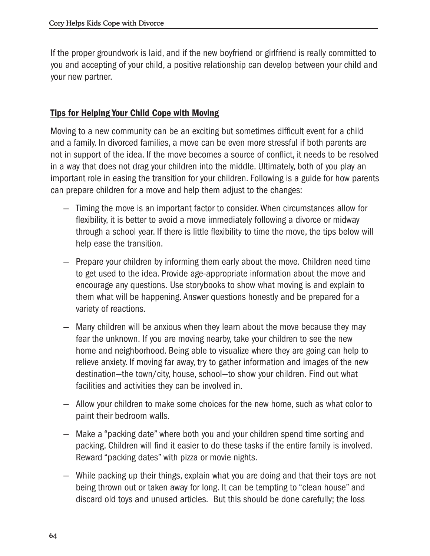If the proper groundwork is laid, and if the new boyfriend or girlfriend is really committed to you and accepting of your child, a positive relationship can develop between your child and your new partner.

# **Tips for Helping Your Child Cope with Moving**

Moving to a new community can be an exciting but sometimes difficult event for a child and a family. In divorced families, a move can be even more stressful if both parents are not in support of the idea. If the move becomes a source of conflict, it needs to be resolved in a way that does not drag your children into the middle. Ultimately, both of you play an important role in easing the transition for your children. Following is a guide for how parents can prepare children for a move and help them adjust to the changes:

- Timing the move is an important factor to consider. When circumstances allow for flexibility, it is better to avoid a move immediately following a divorce or midway through a school year. If there is little flexibility to time the move, the tips below will help ease the transition.
- Prepare your children by informing them early about the move. Children need time to get used to the idea. Provide age-appropriate information about the move and encourage any questions. Use storybooks to show what moving is and explain to them what will be happening. Answer questions honestly and be prepared for a variety of reactions.
- Many children will be anxious when they learn about the move because they may fear the unknown. If you are moving nearby, take your children to see the new home and neighborhood. Being able to visualize where they are going can help to relieve anxiety. If moving far away, try to gather information and images of the new destination—the town/city, house, school—to show your children. Find out what facilities and activities they can be involved in.
- Allow your children to make some choices for the new home, such as what color to paint their bedroom walls.
- Make a "packing date" where both you and your children spend time sorting and packing. Children will find it easier to do these tasks if the entire family is involved. Reward "packing dates" with pizza or movie nights.
- While packing up their things, explain what you are doing and that their toys are not being thrown out or taken away for long. It can be tempting to "clean house" and discard old toys and unused articles. But this should be done carefully; the loss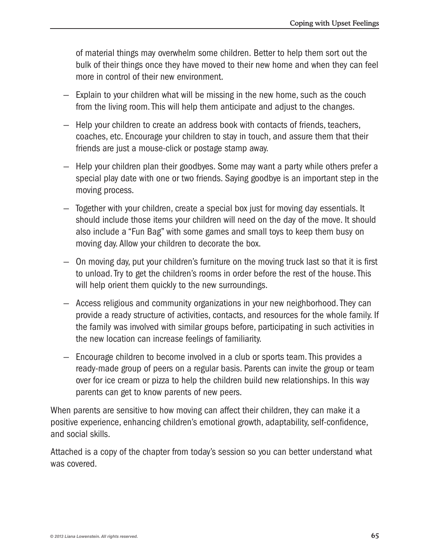of material things may overwhelm some children. Better to help them sort out the bulk of their things once they have moved to their new home and when they can feel more in control of their new environment.

- Explain to your children what will be missing in the new home, such as the couch from the living room. This will help them anticipate and adjust to the changes.
- Help your children to create an address book with contacts of friends, teachers, coaches, etc. Encourage your children to stay in touch, and assure them that their friends are just a mouse-click or postage stamp away.
- Help your children plan their goodbyes. Some may want a party while others prefer a special play date with one or two friends. Saying goodbye is an important step in the moving process.
- Together with your children, create a special box just for moving day essentials. It should include those items your children will need on the day of the move. It should also include a "Fun Bag" with some games and small toys to keep them busy on moving day. Allow your children to decorate the box.
- On moving day, put your children's furniture on the moving truck last so that it is first to unload. Try to get the children's rooms in order before the rest of the house. This will help orient them quickly to the new surroundings.
- Access religious and community organizations in your new neighborhood. They can provide a ready structure of activities, contacts, and resources for the whole family. If the family was involved with similar groups before, participating in such activities in the new location can increase feelings of familiarity.
- Encourage children to become involved in a club or sports team. This provides a ready-made group of peers on a regular basis. Parents can invite the group or team over for ice cream or pizza to help the children build new relationships. In this way parents can get to know parents of new peers.

When parents are sensitive to how moving can affect their children, they can make it a positive experience, enhancing children's emotional growth, adaptability, self-confidence, and social skills.

Attached is a copy of the chapter from today's session so you can better understand what was covered.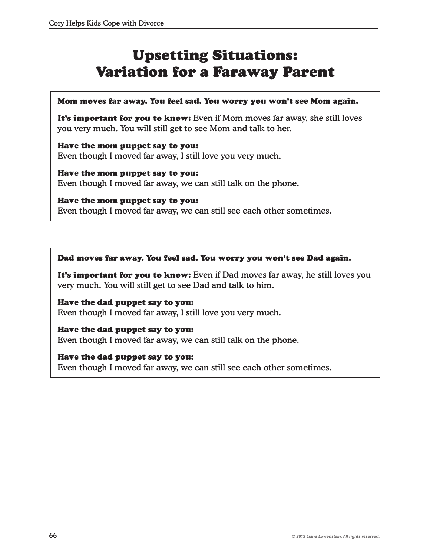# Upsetting Situations: Variation for a Faraway Parent

## Mom moves far away. You feel sad. You worry you won't see Mom again.

It's important for you to know: Even if Mom moves far away, she still loves you very much. You will still get to see Mom and talk to her.

Have the mom puppet say to you: Even though I moved far away, I still love you very much.

Have the mom puppet say to you: Even though I moved far away, we can still talk on the phone.

# Have the mom puppet say to you:

Even though I moved far away, we can still see each other sometimes.

## Dad moves far away. You feel sad. You worry you won't see Dad again.

It's important for you to know: Even if Dad moves far away, he still loves you very much. You will still get to see Dad and talk to him.

Have the dad puppet say to you: Even though I moved far away, I still love you very much.

## Have the dad puppet say to you:

Even though I moved far away, we can still talk on the phone.

## Have the dad puppet say to you:

Even though I moved far away, we can still see each other sometimes.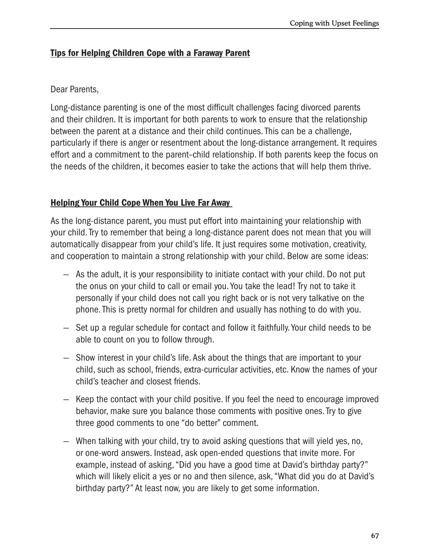# **Tips for Helping Children Cope with a Faraway Parent**

# Dear Parents,

Long-distance parenting is one of the most difficult challenges facing divorced parents and their children. It is important for both parents to work to ensure that the relationship between the parent at a distance and their child continues. This can be a challenge, particularly if there is anger or resentment about the long-distance arrangement. It requires effort and a commitment to the parent-child relationship. If both parents keep the focus on the needs of the children, it becomes easier to take the actions that will help them thrive.

# **Helping Your Child Cope When You Live Far Away**

As the long-distance parent, you must put effort into maintaining your relationship with your child. Try to remember that being a long-distance parent does not mean that you will automatically disappear from your child's life. It just requires some motivation, creativity, and cooperation to maintain a strong relationship with your child. Below are some ideas:

- As the adult, it is your responsibility to initiate contact with your child. Do not put the onus on your child to call or email you. You take the lead! Try not to take it personally if your child does not call you right back or is not very talkative on the phone. This is pretty normal for children and usually has nothing to do with you.
- Set up a regular schedule for contact and follow it faithfully. Your child needs to be able to count on you to follow through.
- Show interest in your child's life. Ask about the things that are important to your child, such as school, friends, extra-curricular activities, etc. Know the names of your child's teacher and closest friends.
- Keep the contact with your child positive. If you feel the need to encourage improved behavior, make sure you balance those comments with positive ones. Try to give three good comments to one "do better" comment.
- When talking with your child, try to avoid asking questions that will yield yes, no, or one-word answers. Instead, ask open-ended questions that invite more. For example, instead of asking, "Did you have a good time at David's birthday party?" which will likely elicit a yes or no and then silence, ask, "What did you do at David's birthday party?" At least now, you are likely to get some information.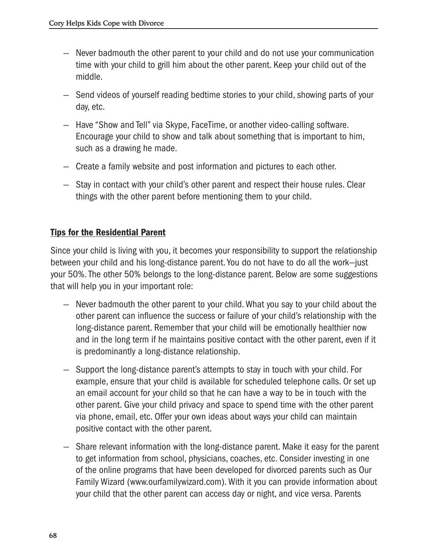- Never badmouth the other parent to your child and do not use your communication time with your child to grill him about the other parent. Keep your child out of the middle.
- Send videos of yourself reading bedtime stories to your child, showing parts of your day, etc.
- Have "Show and Tell" via Skype, FaceTime, or another video-calling software. Encourage your child to show and talk about something that is important to him. such as a drawing he made.
- Create a family website and post information and pictures to each other.
- Stay in contact with your child's other parent and respect their house rules. Clear things with the other parent before mentioning them to your child.

# **Tips for the Residential Parent**

Since your child is living with you, it becomes your responsibility to support the relationship between your child and his long-distance parent. You do not have to do all the work-just your 50%. The other 50% belongs to the long-distance parent. Below are some suggestions that will help you in your important role:

- Never badmouth the other parent to your child. What you say to your child about the other parent can influence the success or failure of your child's relationship with the long-distance parent. Remember that your child will be emotionally healthier now and in the long term if he maintains positive contact with the other parent, even if it is predominantly a long-distance relationship.
- Support the long-distance parent's attempts to stay in touch with your child. For example, ensure that your child is available for scheduled telephone calls. Or set up an email account for your child so that he can have a way to be in touch with the other parent. Give your child privacy and space to spend time with the other parent via phone, email, etc. Offer your own ideas about ways your child can maintain positive contact with the other parent.
- Share relevant information with the long-distance parent. Make it easy for the parent to get information from school, physicians, coaches, etc. Consider investing in one of the online programs that have been developed for divorced parents such as Our Family Wizard (www.ourfamilywizard.com). With it you can provide information about your child that the other parent can access day or night, and vice versa. Parents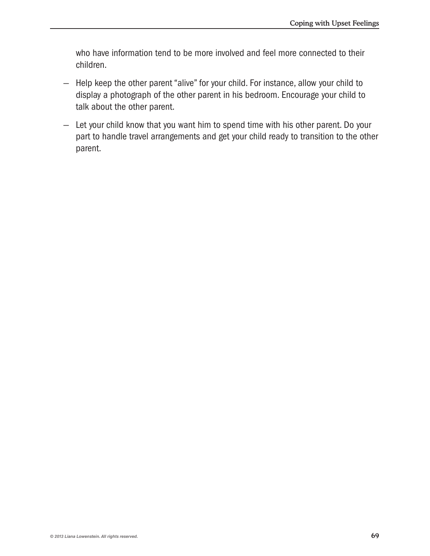who have information tend to be more involved and feel more connected to their children.

- Help keep the other parent "alive" for your child. For instance, allow your child to display a photograph of the other parent in his bedroom. Encourage your child to talk about the other parent.
- Let your child know that you want him to spend time with his other parent. Do your part to handle travel arrangements and get your child ready to transition to the other parent.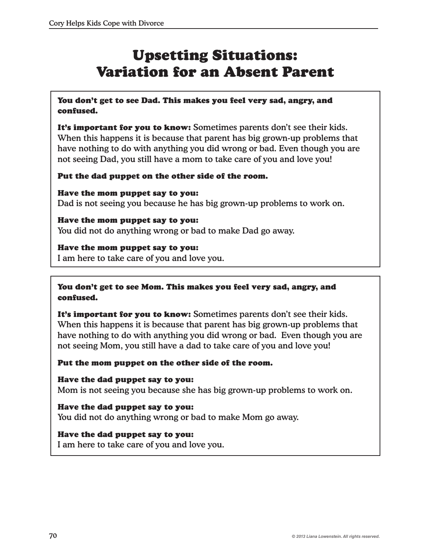# Upsetting Situations: Variation for an Absent Parent

You don't get to see Dad. This makes you feel very sad, angry, and confused.

It's important for you to know: Sometimes parents don't see their kids. When this happens it is because that parent has big grown-up problems that have nothing to do with anything you did wrong or bad. Even though you are not seeing Dad, you still have a mom to take care of you and love you!

# Put the dad puppet on the other side of the room.

Have the mom puppet say to you: Dad is not seeing you because he has big grown-up problems to work on.

Have the mom puppet say to you: You did not do anything wrong or bad to make Dad go away.

## Have the mom puppet say to you:

I am here to take care of you and love you.

You don't get to see Mom. This makes you feel very sad, angry, and confused.

It's important for you to know: Sometimes parents don't see their kids. When this happens it is because that parent has big grown-up problems that have nothing to do with anything you did wrong or bad. Even though you are not seeing Mom, you still have a dad to take care of you and love you!

## Put the mom puppet on the other side of the room.

Have the dad puppet say to you: Mom is not seeing you because she has big grown-up problems to work on.

Have the dad puppet say to you: You did not do anything wrong or bad to make Mom go away.

## Have the dad puppet say to you:

I am here to take care of you and love you.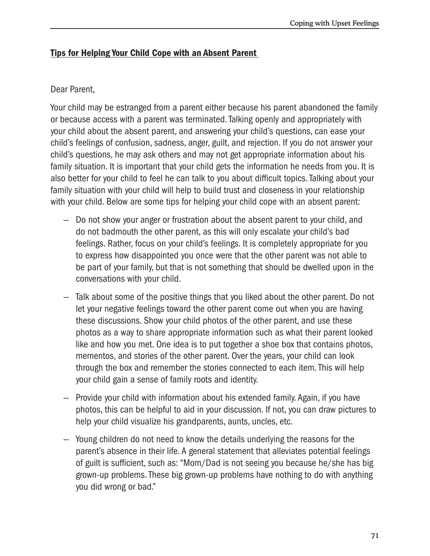# Tips for Helping Your Child Cope with an Absent Parent

# Dear Parent,

Your child may be estranged from a parent either because his parent abandoned the family or because access with a parent was terminated. Talking openly and appropriately with your child about the absent parent, and answering your child's questions, can ease your child's feelings of confusion, sadness, anger, guilt, and rejection. If you do not answer your child's questions, he may ask others and may not get appropriate information about his family situation. It is important that your child gets the information he needs from you. It is also better for your child to feel he can talk to you about difficult topics. Talking about your family situation with your child will help to build trust and closeness in your relationship with your child. Below are some tips for helping your child cope with an absent parent:

- Do not show your anger or frustration about the absent parent to your child, and do not badmouth the other parent, as this will only escalate your child's bad feelings. Rather, focus on your child's feelings. It is completely appropriate for you to express how disappointed you once were that the other parent was not able to be part of your family, but that is not something that should be dwelled upon in the conversations with your child.
- Talk about some of the positive things that you liked about the other parent. Do not let your negative feelings toward the other parent come out when you are having these discussions. Show your child photos of the other parent, and use these photos as a way to share appropriate information such as what their parent looked like and how you met. One idea is to put together a shoe box that contains photos, mementos, and stories of the other parent. Over the years, your child can look through the box and remember the stories connected to each item. This will help your child gain a sense of family roots and identity.
- $-$  Provide your child with information about his extended family. Again, if you have photos, this can be helpful to aid in your discussion. If not, you can draw pictures to help your child visualize his grandparents, aunts, uncles, etc.
- $-$  Young children do not need to know the details underlying the reasons for the parent's absence in their life. A general statement that alleviates potential feelings of guilt is sufficient, such as: "Mom/Dad is not seeing you because he/she has big grown-up problems. These big grown-up problems have nothing to do with anything you did wrong or bad."